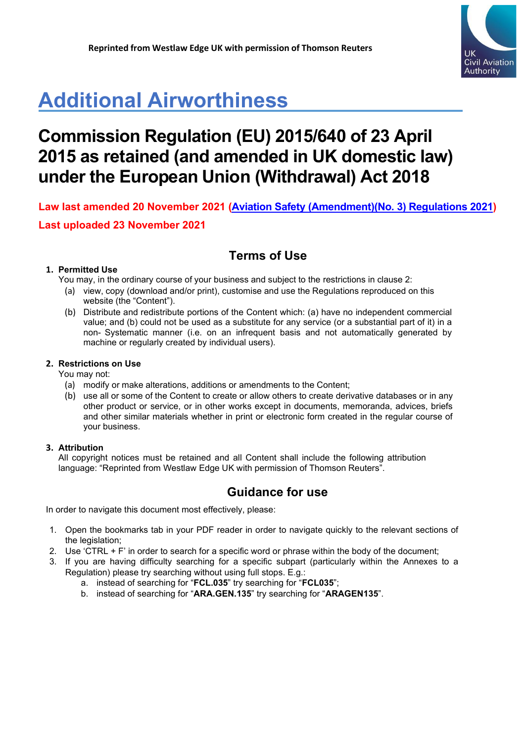

# **Additional Airworthiness**

## **Commission Regulation (EU) 2015/640 of 23 April 2015 as retained (and amended in UK domestic law) under the European Union (Withdrawal) Act 2018**

**Law last amended 20 November 2021 [\(Aviation Safety \(Amendment\)\(No. 3\) Regulations 2021\)](https://www.legislation.gov.uk/uksi/2021/1203/contents/made) Last uploaded 23 November 2021**

## **Terms of Use**

### **1. Permitted Use**

You may, in the ordinary course of your business and subject to the restrictions in clause 2:

- (a) view, copy (download and/or print), customise and use the Regulations reproduced on this website (the "Content").
- (b) Distribute and redistribute portions of the Content which: (a) have no independent commercial value; and (b) could not be used as a substitute for any service (or a substantial part of it) in a non- Systematic manner (i.e. on an infrequent basis and not automatically generated by machine or regularly created by individual users).

### **2. Restrictions on Use**

You may not:

- (a) modify or make alterations, additions or amendments to the Content;
- (b) use all or some of the Content to create or allow others to create derivative databases or in any other product or service, or in other works except in documents, memoranda, advices, briefs and other similar materials whether in print or electronic form created in the regular course of your business.

### **3. Attribution**

All copyright notices must be retained and all Content shall include the following attribution language: "Reprinted from Westlaw Edge UK with permission of Thomson Reuters".

### **Guidance for use**

In order to navigate this document most effectively, please:

- 1. Open the bookmarks tab in your PDF reader in order to navigate quickly to the relevant sections of the legislation;
- 2. Use 'CTRL + F' in order to search for a specific word or phrase within the body of the document;
- 3. If you are having difficulty searching for a specific subpart (particularly within the Annexes to a Regulation) please try searching without using full stops. E.g.:
	- a. instead of searching for "**FCL.035**" try searching for "**FCL035**";
	- b. instead of searching for "**ARA.GEN.135**" try searching for "**ARAGEN135**".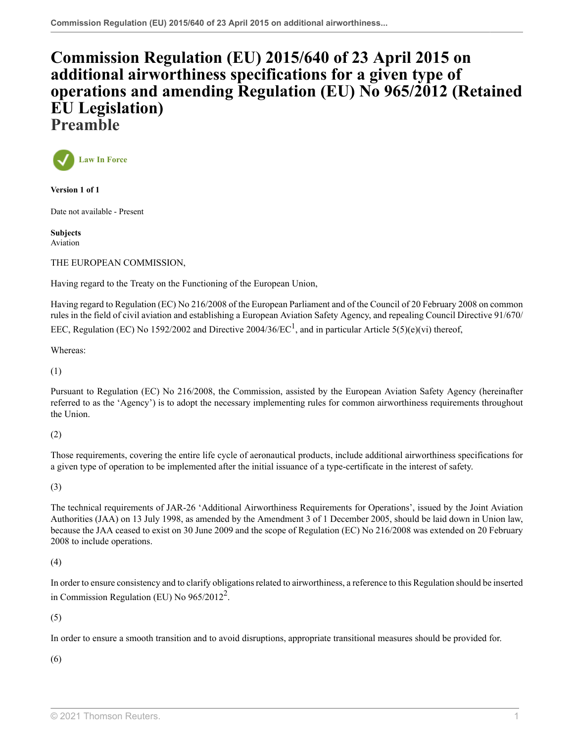## **[Commission Regulation \(EU\) 2015/640 of 23 April 2015 on](http://uk.westlaw.com/Document/I4D69162062B411EB8F52D2F27EEA56A7/View/FullText.html?originationContext=document&transitionType=DocumentItem&vr=3.0&rs=PLUK1.0&contextData=(sc.Search)) [additional airworthiness specifications for a given type of](http://uk.westlaw.com/Document/I4D69162062B411EB8F52D2F27EEA56A7/View/FullText.html?originationContext=document&transitionType=DocumentItem&vr=3.0&rs=PLUK1.0&contextData=(sc.Search)) [operations and amending Regulation \(EU\) No 965/2012 \(Retained](http://uk.westlaw.com/Document/I4D69162062B411EB8F52D2F27EEA56A7/View/FullText.html?originationContext=document&transitionType=DocumentItem&vr=3.0&rs=PLUK1.0&contextData=(sc.Search)) [EU Legislation\)](http://uk.westlaw.com/Document/I4D69162062B411EB8F52D2F27EEA56A7/View/FullText.html?originationContext=document&transitionType=DocumentItem&vr=3.0&rs=PLUK1.0&contextData=(sc.Search)) Preamble**



**Version 1 of 1**

Date not available - Present

**Subjects** Aviation

THE EUROPEAN COMMISSION,

Having regard to the Treaty on the Functioning of the European Union,

<span id="page-1-0"></span>Having regard to Regulation (EC) No 216/2008 of the European Parliament and of the Council of 20 February 2008 on common rules in the field of civil aviation and establishing a European Aviation Safety Agency, and repealing Council Directive 91/670/ EEC, Regulation (EC) No [1](#page-2-0)592/2002 and Directive 2004/36/EC<sup>1</sup>, and in particular Article 5(5)(e)(vi) thereof,

Whereas:

(1)

Pursuant to Regulation (EC) No 216/2008, the Commission, assisted by the European Aviation Safety Agency (hereinafter referred to as the 'Agency') is to adopt the necessary implementing rules for common airworthiness requirements throughout the Union.

(2)

Those requirements, covering the entire life cycle of aeronautical products, include additional airworthiness specifications for a given type of operation to be implemented after the initial issuance of a type-certificate in the interest of safety.

(3)

The technical requirements of JAR-26 'Additional Airworthiness Requirements for Operations', issued by the Joint Aviation Authorities (JAA) on 13 July 1998, as amended by the Amendment 3 of 1 December 2005, should be laid down in Union law, because the JAA ceased to exist on 30 June 2009 and the scope of Regulation (EC) No 216/2008 was extended on 20 February 2008 to include operations.

(4)

<span id="page-1-1"></span>In order to ensure consistency and to clarify obligations related to airworthiness, a reference to this Regulation should be inserted in Commission Regulation (EU) No  $965/2012^2$  $965/2012^2$  $965/2012^2$ .

(5)

In order to ensure a smooth transition and to avoid disruptions, appropriate transitional measures should be provided for.

(6)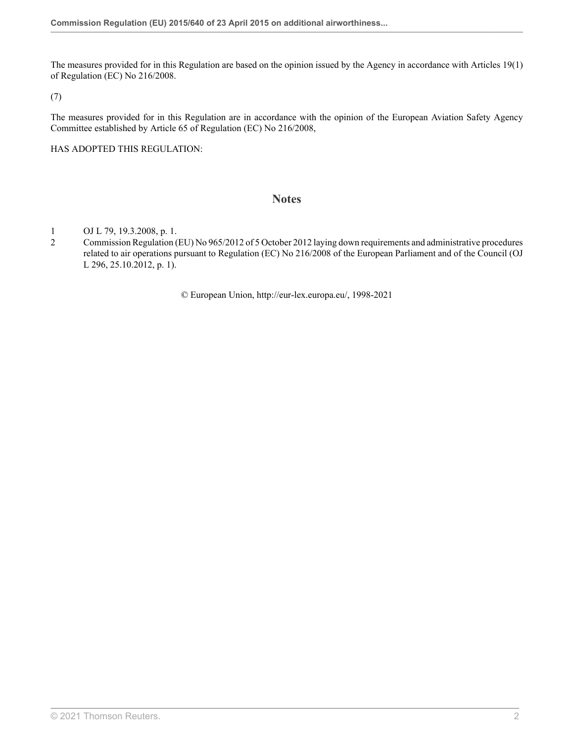The measures provided for in this Regulation are based on the opinion issued by the Agency in accordance with Articles 19(1) of Regulation (EC) No 216/2008.

(7)

The measures provided for in this Regulation are in accordance with the opinion of the European Aviation Safety Agency Committee established by Article 65 of Regulation (EC) No 216/2008,

HAS ADOPTED THIS REGULATION:

### **Notes**

- <span id="page-2-0"></span>[1](#page-1-0) OJ L 79, 19.3.2008, p. 1.<br>2 Commission Regulation (
- <span id="page-2-1"></span>[2](#page-1-1) Commission Regulation (EU) No 965/2012 of 5 October 2012 laying down requirements and administrative procedures related to air operations pursuant to Regulation (EC) No 216/2008 of the European Parliament and of the Council (OJ L 296, 25.10.2012, p. 1).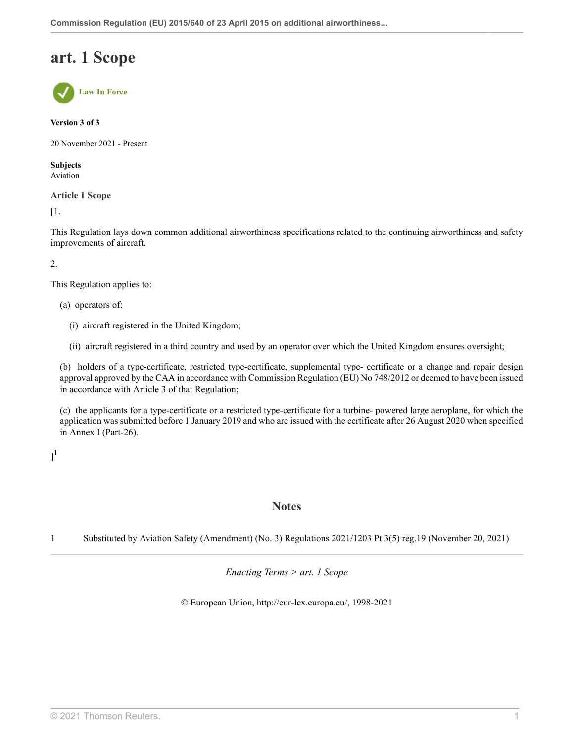## **art. 1 Scope**



#### **Version 3 of 3**

20 November 2021 - Present

**Subjects** Aviation

**Article 1 Scope**

[1.

This Regulation lays down common additional airworthiness specifications related to the continuing airworthiness and safety improvements of aircraft.

2.

This Regulation applies to:

(a) operators of:

- (i) aircraft registered in the United Kingdom;
- (ii) aircraft registered in a third country and used by an operator over which the United Kingdom ensures oversight;

(b) holders of a type-certificate, restricted type-certificate, supplemental type- certificate or a change and repair design approval approved by the CAA in accordance with Commission [Regulation \(EU\) No 748/2012](http://uk.westlaw.com/Document/I747B5510FA3211EAACB48524E43BB284/View/FullText.html?originationContext=document&transitionType=DocumentItem&vr=3.0&rs=PLUK1.0&contextData=(sc.Search)) or deemed to have been issued in accordance with [Article 3](http://uk.westlaw.com/Document/I03583550FA3311EA9839CF2D1B96749A/View/FullText.html?originationContext=document&transitionType=DocumentItem&vr=3.0&rs=PLUK1.0&contextData=(sc.Search)) of that Regulation;

(c) the applicants for a type-certificate or a restricted type-certificate for a turbine- powered large aeroplane, for which the application was submitted before 1 January 2019 and who are issued with the certificate after 26 August 2020 when specified in Annex I (Part-26).

<span id="page-3-1"></span> $]^{1}$  $]^{1}$  $]^{1}$ 

### **Notes**

<span id="page-3-0"></span>[1](#page-3-1) Substituted by Aviation Safety (Amendment) (No. 3) Regulations 2021/1203 [Pt 3\(5\) reg.19](http://uk.westlaw.com/Document/IF27479803A3511EC8C3F8DC6E4B22D01/View/FullText.html?originationContext=document&transitionType=DocumentItem&vr=3.0&rs=PLUK1.0&contextData=(sc.Search)) (November 20, 2021)

*Enacting Terms > art. 1 Scope*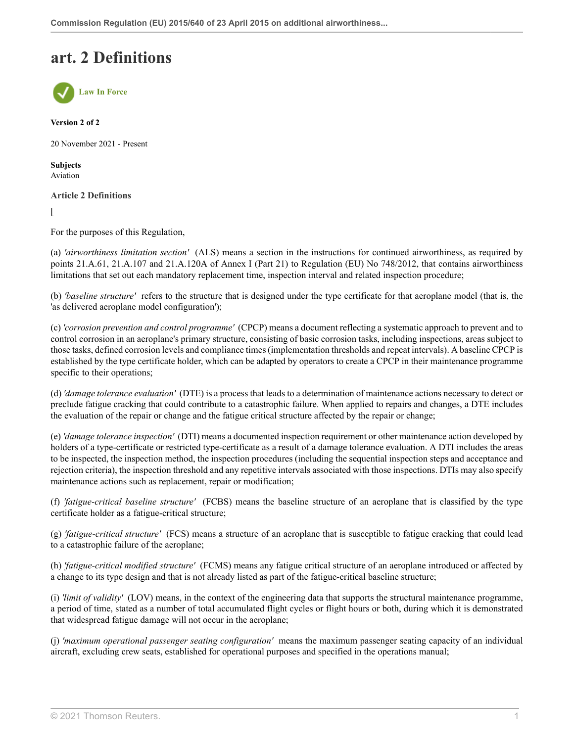## **art. 2 Definitions**



**Version 2 of 2**

20 November 2021 - Present

**Subjects** Aviation

**Article 2 Definitions**

 $\sqrt{2}$ 

For the purposes of this Regulation,

(a) *'airworthiness limitation section'* (ALS) means a section in the instructions for continued airworthiness, as required by points 21.A.61, 21.A.107 and 21.A.120A of Annex I (Part 21) to [Regulation \(EU\) No 748/2012](http://uk.westlaw.com/Document/I747B5510FA3211EAACB48524E43BB284/View/FullText.html?originationContext=document&transitionType=DocumentItem&vr=3.0&rs=PLUK1.0&contextData=(sc.Search)), that contains airworthiness limitations that set out each mandatory replacement time, inspection interval and related inspection procedure;

(b) *'baseline structure'* refers to the structure that is designed under the type certificate for that aeroplane model (that is, the 'as delivered aeroplane model configuration');

(c) *'corrosion prevention and control programme'* (CPCP) means a document reflecting a systematic approach to prevent and to control corrosion in an aeroplane's primary structure, consisting of basic corrosion tasks, including inspections, areas subject to those tasks, defined corrosion levels and compliance times (implementation thresholds and repeat intervals). A baseline CPCP is established by the type certificate holder, which can be adapted by operators to create a CPCP in their maintenance programme specific to their operations;

(d) *'damage tolerance evaluation'* (DTE) is a process that leads to a determination of maintenance actions necessary to detect or preclude fatigue cracking that could contribute to a catastrophic failure. When applied to repairs and changes, a DTE includes the evaluation of the repair or change and the fatigue critical structure affected by the repair or change;

(e) *'damage tolerance inspection'* (DTI) means a documented inspection requirement or other maintenance action developed by holders of a type-certificate or restricted type-certificate as a result of a damage tolerance evaluation. A DTI includes the areas to be inspected, the inspection method, the inspection procedures (including the sequential inspection steps and acceptance and rejection criteria), the inspection threshold and any repetitive intervals associated with those inspections. DTIs may also specify maintenance actions such as replacement, repair or modification;

(f) *'fatigue-critical baseline structure'* (FCBS) means the baseline structure of an aeroplane that is classified by the type certificate holder as a fatigue-critical structure;

(g) *'fatigue-critical structure'* (FCS) means a structure of an aeroplane that is susceptible to fatigue cracking that could lead to a catastrophic failure of the aeroplane;

(h) *'fatigue-critical modified structure'* (FCMS) means any fatigue critical structure of an aeroplane introduced or affected by a change to its type design and that is not already listed as part of the fatigue-critical baseline structure;

(i) *'limit of validity'* (LOV) means, in the context of the engineering data that supports the structural maintenance programme, a period of time, stated as a number of total accumulated flight cycles or flight hours or both, during which it is demonstrated that widespread fatigue damage will not occur in the aeroplane;

(j) *'maximum operational passenger seating configuration'* means the maximum passenger seating capacity of an individual aircraft, excluding crew seats, established for operational purposes and specified in the operations manual;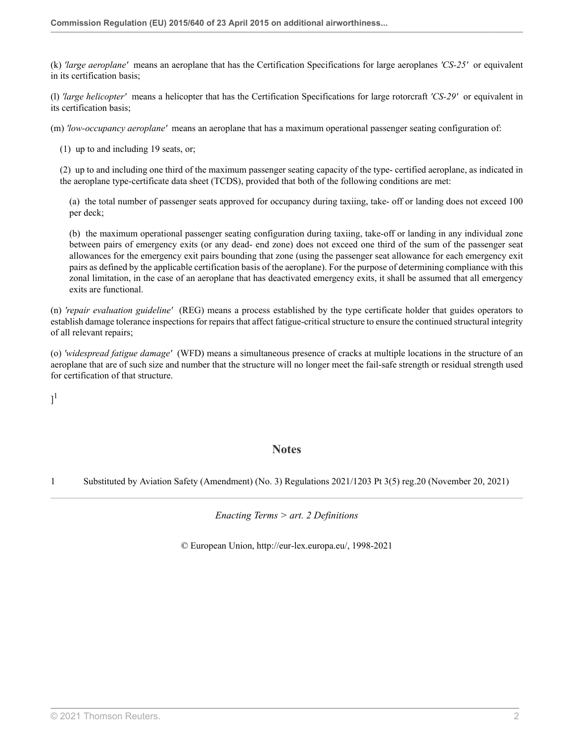(k) *'large aeroplane'* means an aeroplane that has the Certification Specifications for large aeroplanes *'CS-25'* or equivalent in its certification basis;

(l) *'large helicopter'* means a helicopter that has the Certification Specifications for large rotorcraft *'CS-29'* or equivalent in its certification basis;

(m) *'low-occupancy aeroplane'* means an aeroplane that has a maximum operational passenger seating configuration of:

(1) up to and including 19 seats, or;

(2) up to and including one third of the maximum passenger seating capacity of the type- certified aeroplane, as indicated in the aeroplane type-certificate data sheet (TCDS), provided that both of the following conditions are met:

(a) the total number of passenger seats approved for occupancy during taxiing, take- off or landing does not exceed 100 per deck;

(b) the maximum operational passenger seating configuration during taxiing, take-off or landing in any individual zone between pairs of emergency exits (or any dead- end zone) does not exceed one third of the sum of the passenger seat allowances for the emergency exit pairs bounding that zone (using the passenger seat allowance for each emergency exit pairs as defined by the applicable certification basis of the aeroplane). For the purpose of determining compliance with this zonal limitation, in the case of an aeroplane that has deactivated emergency exits, it shall be assumed that all emergency exits are functional.

(n) *'repair evaluation guideline'* (REG) means a process established by the type certificate holder that guides operators to establish damage tolerance inspections for repairs that affect fatigue-critical structure to ensure the continued structural integrity of all relevant repairs;

(o) *'widespread fatigue damage'* (WFD) means a simultaneous presence of cracks at multiple locations in the structure of an aeroplane that are of such size and number that the structure will no longer meet the fail-safe strength or residual strength used for certification of that structure.

<span id="page-5-1"></span> $]^{1}$  $]^{1}$  $]^{1}$ 

### **Notes**

<span id="page-5-0"></span>[1](#page-5-1) Substituted by Aviation Safety (Amendment) (No. 3) Regulations 2021/1203 [Pt 3\(5\) reg.20](http://uk.westlaw.com/Document/IAF371AD03A3311EC8C3F8DC6E4B22D01/View/FullText.html?originationContext=document&transitionType=DocumentItem&vr=3.0&rs=PLUK1.0&contextData=(sc.Search)) (November 20, 2021)

*Enacting Terms > art. 2 Definitions*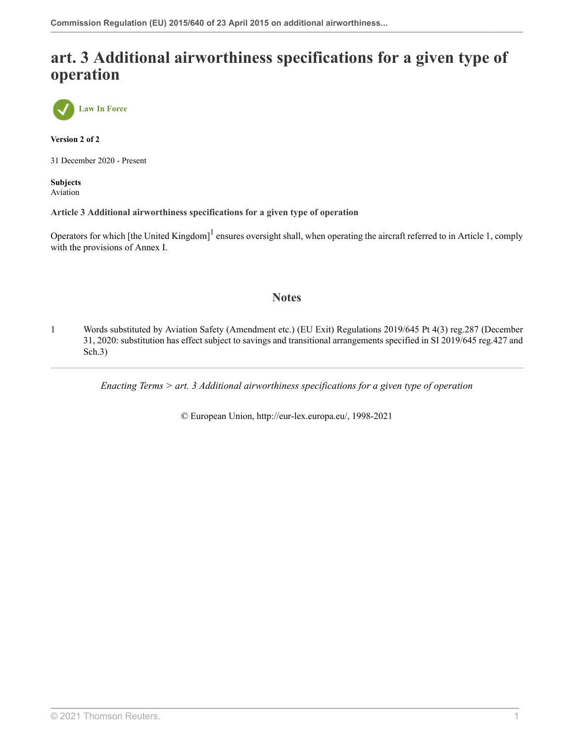## **art. 3 Additional airworthiness specifications for a given type of operation**



**Version 2 of 2**

31 December 2020 - Present

**Subjects** Aviation

**Article 3 Additional airworthiness specifications for a given type of operation**

Operators for which [the United Kingdom]<sup>[1](#page-6-0)</sup> ensures oversight shall, when operating the aircraft referred to in Article 1, comply with the provisions of Annex I.

### <span id="page-6-1"></span>**Notes**

<span id="page-6-0"></span>[1](#page-6-1) Words substituted by Aviation Safety (Amendment etc.) (EU Exit) Regulations 2019/645 [Pt 4\(3\) reg.287](http://uk.westlaw.com/Document/I7CC437704D2A11E9A853EC4C52A964EE/View/FullText.html?originationContext=document&transitionType=DocumentItem&vr=3.0&rs=PLUK1.0&contextData=(sc.Search)) (December 31, 2020: substitution has effect subject to savings and transitional arrangements specified in SI 2019/645 reg.427 and Sch.3)

*Enacting Terms > art. 3 Additional airworthiness specifications for a given type of operation*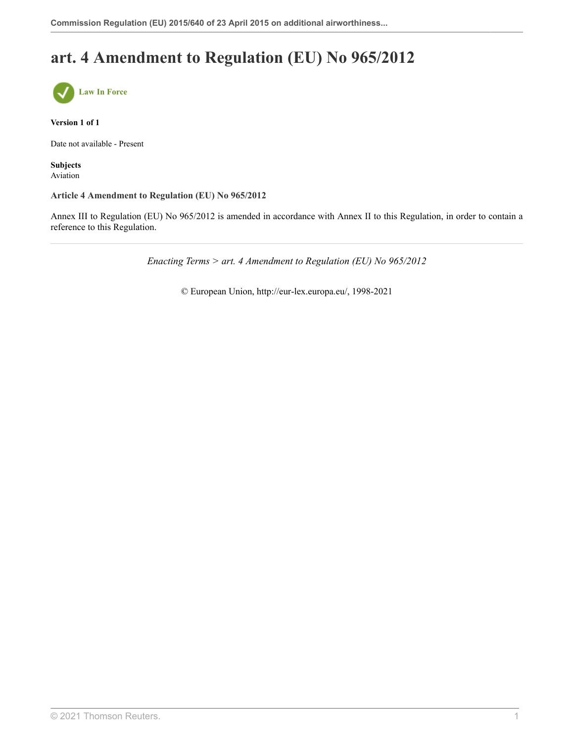## **art. 4 Amendment to Regulation (EU) No 965/2012**



**Version 1 of 1**

Date not available - Present

**Subjects** Aviation

#### **Article 4 Amendment to Regulation (EU) No 965/2012**

Annex III to Regulation (EU) No 965/2012 is amended in accordance with Annex II to this Regulation, in order to contain a reference to this Regulation.

*Enacting Terms > art. 4 Amendment to Regulation (EU) No 965/2012*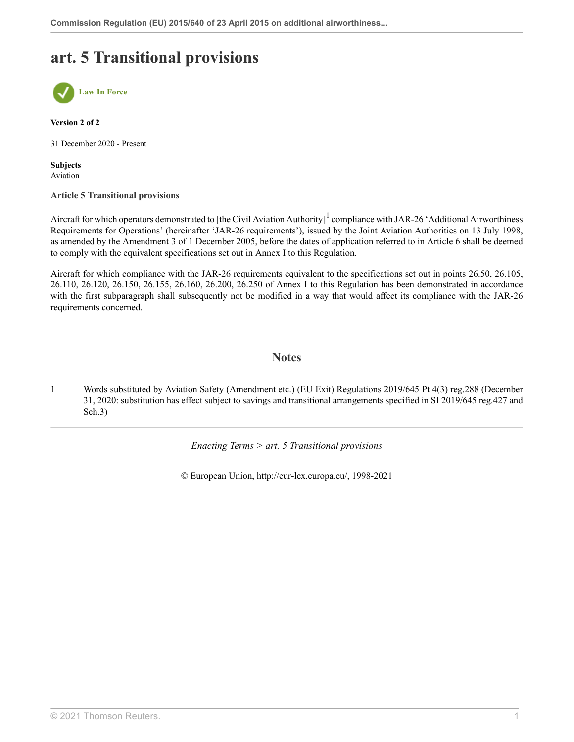## **art. 5 Transitional provisions**



**Version 2 of 2**

31 December 2020 - Present

**Subjects** Aviation

#### **Article 5 Transitional provisions**

Aircraft for which operators demonstrated to [the Civil Aviation Authority] $1$  compliance with JAR-26 'Additional Airworthiness Requirements for Operations' (hereinafter 'JAR-26 requirements'), issued by the Joint Aviation Authorities on 13 July 1998, as amended by the Amendment 3 of 1 December 2005, before the dates of application referred to in Article 6 shall be deemed to comply with the equivalent specifications set out in Annex I to this Regulation.

Aircraft for which compliance with the JAR-26 requirements equivalent to the specifications set out in points 26.50, 26.105, 26.110, 26.120, 26.150, 26.155, 26.160, 26.200, 26.250 of Annex I to this Regulation has been demonstrated in accordance with the first subparagraph shall subsequently not be modified in a way that would affect its compliance with the JAR-26 requirements concerned.

### <span id="page-8-1"></span>**Notes**

<span id="page-8-0"></span>[1](#page-8-1) Words substituted by Aviation Safety (Amendment etc.) (EU Exit) Regulations 2019/645 [Pt 4\(3\) reg.288](http://uk.westlaw.com/Document/I9F979F304D2A11E9A853EC4C52A964EE/View/FullText.html?originationContext=document&transitionType=DocumentItem&vr=3.0&rs=PLUK1.0&contextData=(sc.Search)) (December 31, 2020: substitution has effect subject to savings and transitional arrangements specified in SI 2019/645 reg.427 and Sch.3)

*Enacting Terms > art. 5 Transitional provisions*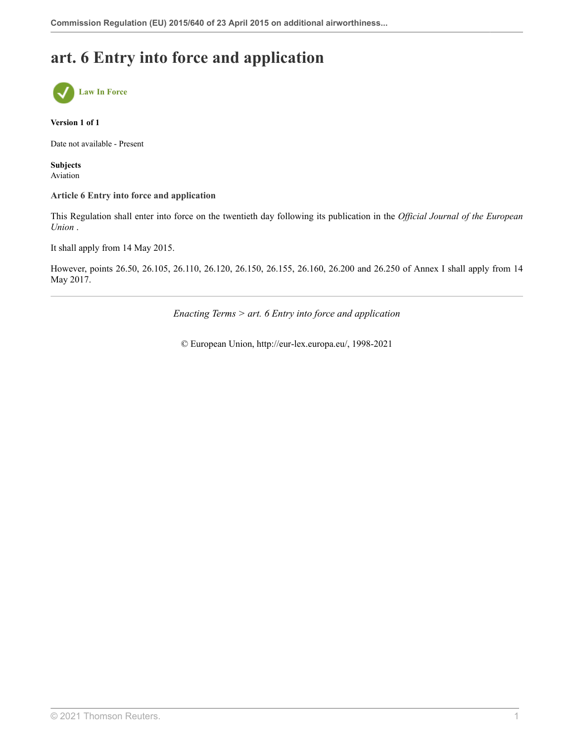## **art. 6 Entry into force and application**



#### **Version 1 of 1**

Date not available - Present

**Subjects** Aviation

#### **Article 6 Entry into force and application**

This Regulation shall enter into force on the twentieth day following its publication in the *Official Journal of the European Union* .

It shall apply from 14 May 2015.

However, points 26.50, 26.105, 26.110, 26.120, 26.150, 26.155, 26.160, 26.200 and 26.250 of Annex I shall apply from 14 May 2017.

*Enacting Terms > art. 6 Entry into force and application*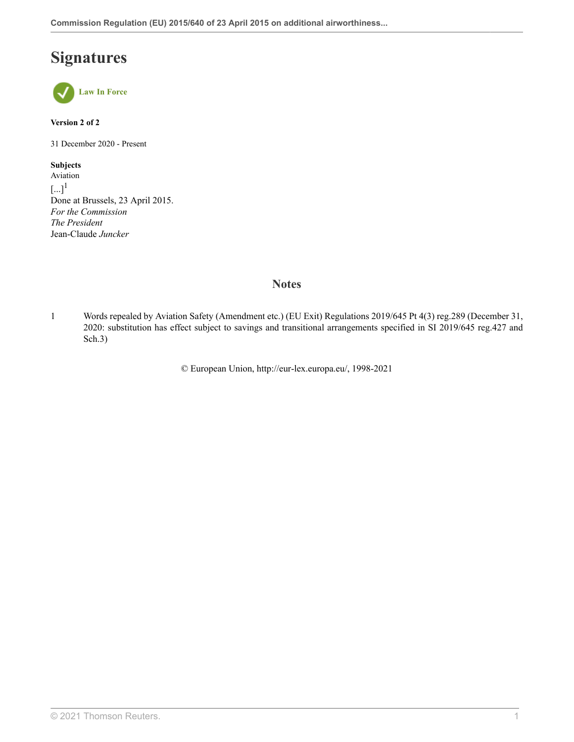## **Signatures**



#### **Version 2 of 2**

31 December 2020 - Present

#### **Subjects**

<span id="page-10-1"></span>Aviation  $\left[...\right]^{1}$  $\left[...\right]^{1}$  $\left[...\right]^{1}$ Done at Brussels, 23 April 2015. *For the Commission The President* Jean-Claude *Juncker*

### **Notes**

<span id="page-10-0"></span>[1](#page-10-1) Words repealed by Aviation Safety (Amendment etc.) (EU Exit) Regulations 2019/645 [Pt 4\(3\) reg.289](http://uk.westlaw.com/Document/I83732F404D2A11E9A853EC4C52A964EE/View/FullText.html?originationContext=document&transitionType=DocumentItem&vr=3.0&rs=PLUK1.0&contextData=(sc.Search)) (December 31, 2020: substitution has effect subject to savings and transitional arrangements specified in SI 2019/645 reg.427 and Sch.3)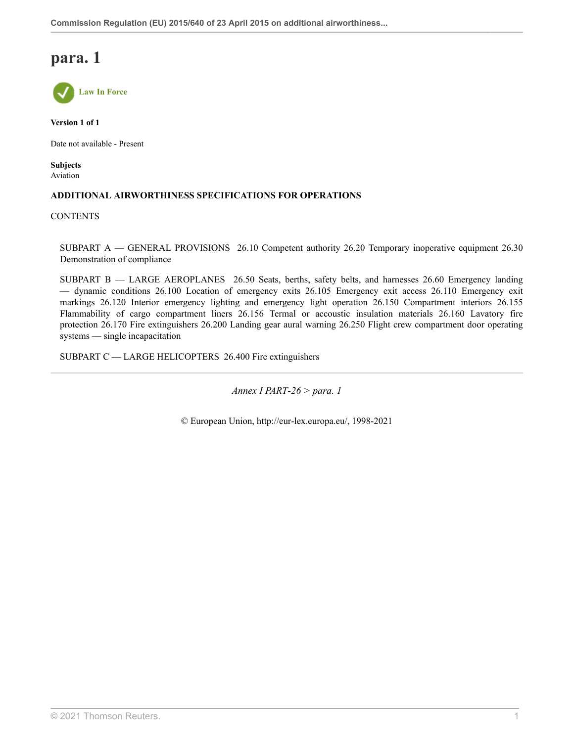

**Version 1 of 1**

Date not available - Present

**Subjects** Aviation

### **ADDITIONAL AIRWORTHINESS SPECIFICATIONS FOR OPERATIONS**

#### **CONTENTS**

SUBPART A — GENERAL PROVISIONS 26.10 Competent authority 26.20 Temporary inoperative equipment 26.30 Demonstration of compliance

SUBPART B — LARGE AEROPLANES 26.50 Seats, berths, safety belts, and harnesses 26.60 Emergency landing — dynamic conditions 26.100 Location of emergency exits 26.105 Emergency exit access 26.110 Emergency exit markings 26.120 Interior emergency lighting and emergency light operation 26.150 Compartment interiors 26.155 Flammability of cargo compartment liners 26.156 Termal or accoustic insulation materials 26.160 Lavatory fire protection 26.170 Fire extinguishers 26.200 Landing gear aural warning 26.250 Flight crew compartment door operating systems — single incapacitation

SUBPART C — LARGE HELICOPTERS 26.400 Fire extinguishers

*Annex I PART-26 > para. 1*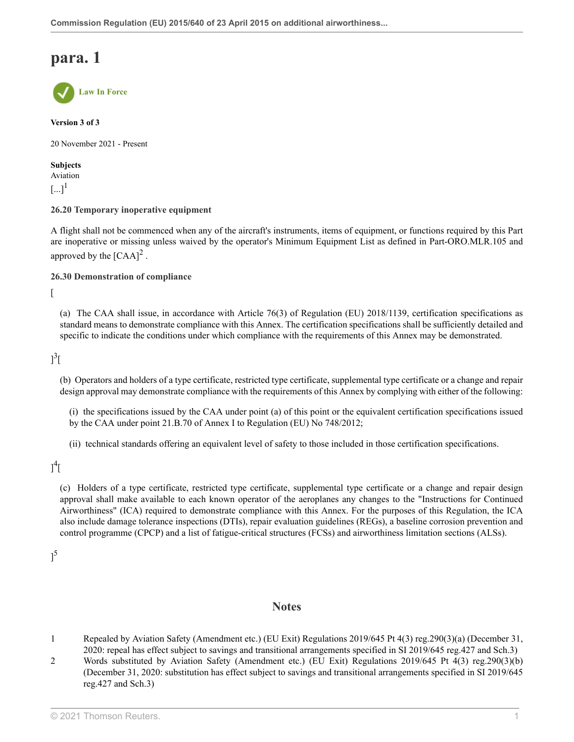

**Version 3 of 3**

20 November 2021 - Present

<span id="page-12-2"></span>**Subjects** Aviation  $[...]^1$  $[...]^1$ 

**26.20 Temporary inoperative equipment**

<span id="page-12-3"></span>A flight shall not be commenced when any of the aircraft's instruments, items of equipment, or functions required by this Part are inoperative or missing unless waived by the operator's Minimum Equipment List as defined in Part-ORO.MLR.105 and approved by the  $[{\rm CAA}]^2$  $[{\rm CAA}]^2$ .

**26.30 Demonstration of compliance**

 $\lceil$ 

(a) The CAA shall issue, in accordance with [Article 76\(3\)](http://uk.westlaw.com/Document/ICC3D03A0BD0C11EBA642FD0A21613E98/View/FullText.html?originationContext=document&transitionType=DocumentItem&vr=3.0&rs=PLUK1.0&contextData=(sc.Search)) of [Regulation \(EU\) 2018/1139](http://uk.westlaw.com/Document/IACFEED10BD0B11EBBF33E8F8D139C39D/View/FullText.html?originationContext=document&transitionType=DocumentItem&vr=3.0&rs=PLUK1.0&contextData=(sc.Search)), certification specifications as standard means to demonstrate compliance with this Annex. The certification specifications shall be sufficiently detailed and specific to indicate the conditions under which compliance with the requirements of this Annex may be demonstrated.

<span id="page-12-4"></span> $\mathbf{1}^3$  $\mathbf{1}^3$ [

(b) Operators and holders of a type certificate, restricted type certificate, supplemental type certificate or a change and repair design approval may demonstrate compliance with the requirements of this Annex by complying with either of the following:

(i) the specifications issued by the CAA under point (a) of this point or the equivalent certification specifications issued by the CAA under point 21.B.70 of Annex I to [Regulation \(EU\) No 748/2012;](http://uk.westlaw.com/Document/I747B5510FA3211EAACB48524E43BB284/View/FullText.html?originationContext=document&transitionType=DocumentItem&vr=3.0&rs=PLUK1.0&contextData=(sc.Search))

(ii) technical standards offering an equivalent level of safety to those included in those certification specifications.

<span id="page-12-5"></span> $\mathcal{I}^4$  $\mathcal{I}^4$ [

(c) Holders of a type certificate, restricted type certificate, supplemental type certificate or a change and repair design approval shall make available to each known operator of the aeroplanes any changes to the "Instructions for Continued Airworthiness" (ICA) required to demonstrate compliance with this Annex. For the purposes of this Regulation, the ICA also include damage tolerance inspections (DTIs), repair evaluation guidelines (REGs), a baseline corrosion prevention and control programme (CPCP) and a list of fatigue-critical structures (FCSs) and airworthiness limitation sections (ALSs).

<span id="page-12-6"></span> $\mathcal{I}^{5}$  $\mathcal{I}^{5}$  $\mathcal{I}^{5}$ 

### **Notes**

- <span id="page-12-0"></span>[1](#page-12-2) Repealed by Aviation Safety (Amendment etc.) (EU Exit) Regulations 2019/645 [Pt 4\(3\) reg.290\(3\)\(a\)](http://uk.westlaw.com/Document/I0E4DE8304D2B11E9A853EC4C52A964EE/View/FullText.html?originationContext=document&transitionType=DocumentItem&vr=3.0&rs=PLUK1.0&contextData=(sc.Search)) (December 31, 2020: repeal has effect subject to savings and transitional arrangements specified in SI 2019/645 reg.427 and Sch.3)
- <span id="page-12-1"></span>[2](#page-12-3) Words substituted by Aviation Safety (Amendment etc.) (EU Exit) Regulations 2019/645 [Pt 4\(3\) reg.290\(3\)\(b\)](http://uk.westlaw.com/Document/I0E4DE8304D2B11E9A853EC4C52A964EE/View/FullText.html?originationContext=document&transitionType=DocumentItem&vr=3.0&rs=PLUK1.0&contextData=(sc.Search)) (December 31, 2020: substitution has effect subject to savings and transitional arrangements specified in SI 2019/645 reg.427 and Sch.3)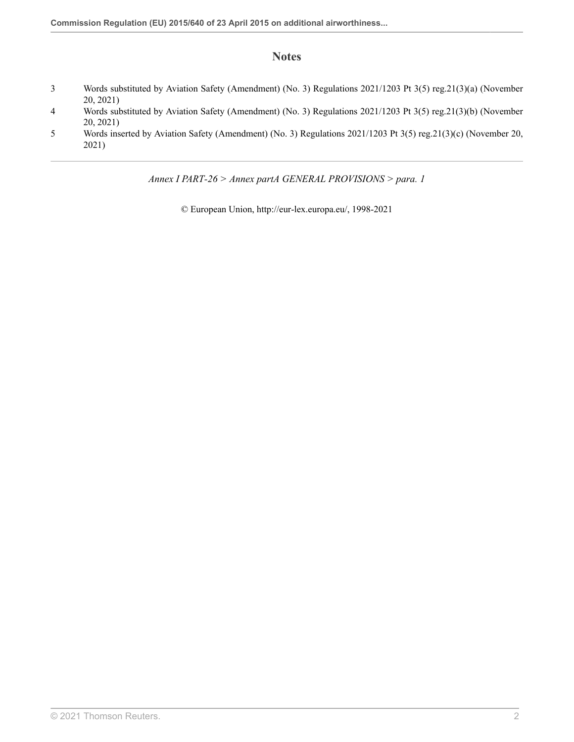### **Notes**

- <span id="page-13-0"></span>[3](#page-12-4) Words substituted by Aviation Safety (Amendment) (No. 3) Regulations 2021/1203 [Pt 3\(5\) reg.21\(3\)\(a\)](http://uk.westlaw.com/Document/I65824AE03A3811EC8C3F8DC6E4B22D01/View/FullText.html?originationContext=document&transitionType=DocumentItem&vr=3.0&rs=PLUK1.0&contextData=(sc.Search)) (November 20, 2021)
- <span id="page-13-1"></span>[4](#page-12-5) Words substituted by Aviation Safety (Amendment) (No. 3) Regulations 2021/1203 [Pt 3\(5\) reg.21\(3\)\(b\)](http://uk.westlaw.com/Document/I65824AE03A3811EC8C3F8DC6E4B22D01/View/FullText.html?originationContext=document&transitionType=DocumentItem&vr=3.0&rs=PLUK1.0&contextData=(sc.Search)) (November 20, 2021)
- <span id="page-13-2"></span>[5](#page-12-6) Words inserted by Aviation Safety (Amendment) (No. 3) Regulations 2021/1203 [Pt 3\(5\) reg.21\(3\)\(c\)](http://uk.westlaw.com/Document/I65824AE03A3811EC8C3F8DC6E4B22D01/View/FullText.html?originationContext=document&transitionType=DocumentItem&vr=3.0&rs=PLUK1.0&contextData=(sc.Search)) (November 20, 2021)

*Annex I PART-26 > Annex partA GENERAL PROVISIONS > para. 1*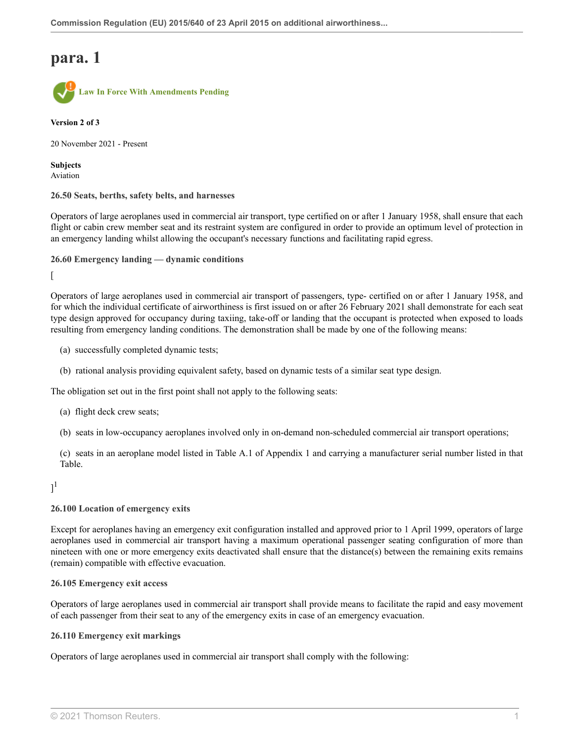

**Version 2 of 3**

20 November 2021 - Present

**Subjects** Aviation

**26.50 Seats, berths, safety belts, and harnesses**

Operators of large aeroplanes used in commercial air transport, type certified on or after 1 January 1958, shall ensure that each flight or cabin crew member seat and its restraint system are configured in order to provide an optimum level of protection in an emergency landing whilst allowing the occupant's necessary functions and facilitating rapid egress.

```
26.60 Emergency landing — dynamic conditions
```
 $\lceil$ 

Operators of large aeroplanes used in commercial air transport of passengers, type- certified on or after 1 January 1958, and for which the individual certificate of airworthiness is first issued on or after 26 February 2021 shall demonstrate for each seat type design approved for occupancy during taxiing, take-off or landing that the occupant is protected when exposed to loads resulting from emergency landing conditions. The demonstration shall be made by one of the following means:

- (a) successfully completed dynamic tests;
- (b) rational analysis providing equivalent safety, based on dynamic tests of a similar seat type design.

The obligation set out in the first point shall not apply to the following seats:

- (a) flight deck crew seats;
- (b) seats in low-occupancy aeroplanes involved only in on-demand non-scheduled commercial air transport operations;

(c) seats in an aeroplane model listed in Table A.1 of Appendix 1 and carrying a manufacturer serial number listed in that Table.

### <span id="page-14-0"></span> $]^{1}$  $]^{1}$  $]^{1}$

#### **26.100 Location of emergency exits**

Except for aeroplanes having an emergency exit configuration installed and approved prior to 1 April 1999, operators of large aeroplanes used in commercial air transport having a maximum operational passenger seating configuration of more than nineteen with one or more emergency exits deactivated shall ensure that the distance(s) between the remaining exits remains (remain) compatible with effective evacuation.

#### **26.105 Emergency exit access**

Operators of large aeroplanes used in commercial air transport shall provide means to facilitate the rapid and easy movement of each passenger from their seat to any of the emergency exits in case of an emergency evacuation.

#### **26.110 Emergency exit markings**

Operators of large aeroplanes used in commercial air transport shall comply with the following: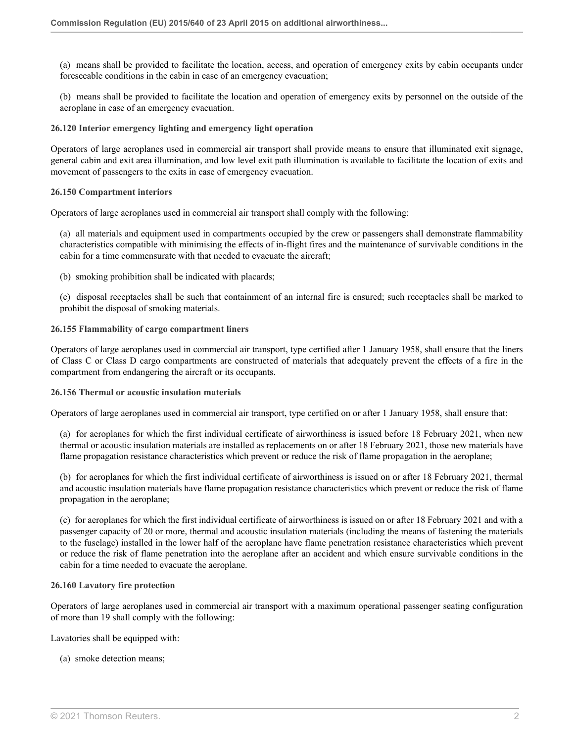(a) means shall be provided to facilitate the location, access, and operation of emergency exits by cabin occupants under foreseeable conditions in the cabin in case of an emergency evacuation;

(b) means shall be provided to facilitate the location and operation of emergency exits by personnel on the outside of the aeroplane in case of an emergency evacuation.

#### **26.120 Interior emergency lighting and emergency light operation**

Operators of large aeroplanes used in commercial air transport shall provide means to ensure that illuminated exit signage, general cabin and exit area illumination, and low level exit path illumination is available to facilitate the location of exits and movement of passengers to the exits in case of emergency evacuation.

#### **26.150 Compartment interiors**

Operators of large aeroplanes used in commercial air transport shall comply with the following:

(a) all materials and equipment used in compartments occupied by the crew or passengers shall demonstrate flammability characteristics compatible with minimising the effects of in-flight fires and the maintenance of survivable conditions in the cabin for a time commensurate with that needed to evacuate the aircraft;

(b) smoking prohibition shall be indicated with placards;

(c) disposal receptacles shall be such that containment of an internal fire is ensured; such receptacles shall be marked to prohibit the disposal of smoking materials.

#### **26.155 Flammability of cargo compartment liners**

Operators of large aeroplanes used in commercial air transport, type certified after 1 January 1958, shall ensure that the liners of Class C or Class D cargo compartments are constructed of materials that adequately prevent the effects of a fire in the compartment from endangering the aircraft or its occupants.

#### **26.156 Thermal or acoustic insulation materials**

Operators of large aeroplanes used in commercial air transport, type certified on or after 1 January 1958, shall ensure that:

(a) for aeroplanes for which the first individual certificate of airworthiness is issued before 18 February 2021, when new thermal or acoustic insulation materials are installed as replacements on or after 18 February 2021, those new materials have flame propagation resistance characteristics which prevent or reduce the risk of flame propagation in the aeroplane;

(b) for aeroplanes for which the first individual certificate of airworthiness is issued on or after 18 February 2021, thermal and acoustic insulation materials have flame propagation resistance characteristics which prevent or reduce the risk of flame propagation in the aeroplane;

(c) for aeroplanes for which the first individual certificate of airworthiness is issued on or after 18 February 2021 and with a passenger capacity of 20 or more, thermal and acoustic insulation materials (including the means of fastening the materials to the fuselage) installed in the lower half of the aeroplane have flame penetration resistance characteristics which prevent or reduce the risk of flame penetration into the aeroplane after an accident and which ensure survivable conditions in the cabin for a time needed to evacuate the aeroplane.

#### **26.160 Lavatory fire protection**

Operators of large aeroplanes used in commercial air transport with a maximum operational passenger seating configuration of more than 19 shall comply with the following:

Lavatories shall be equipped with:

(a) smoke detection means;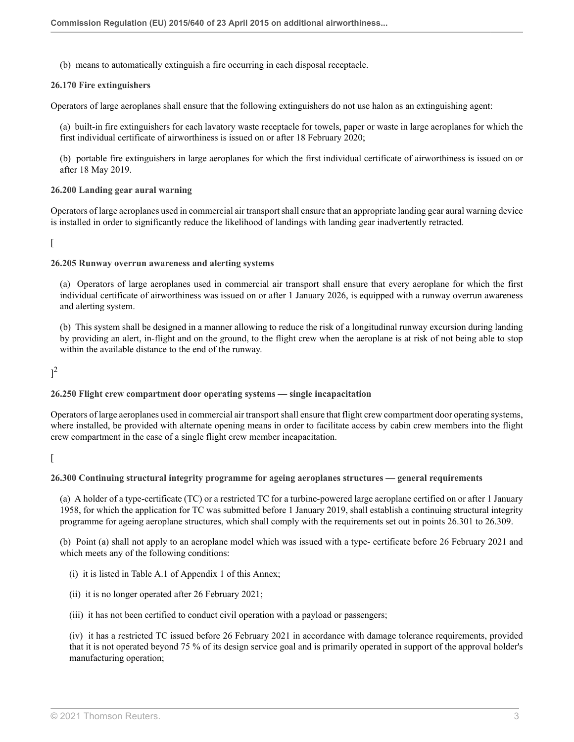(b) means to automatically extinguish a fire occurring in each disposal receptacle.

#### **26.170 Fire extinguishers**

Operators of large aeroplanes shall ensure that the following extinguishers do not use halon as an extinguishing agent:

(a) built-in fire extinguishers for each lavatory waste receptacle for towels, paper or waste in large aeroplanes for which the first individual certificate of airworthiness is issued on or after 18 February 2020;

(b) portable fire extinguishers in large aeroplanes for which the first individual certificate of airworthiness is issued on or after 18 May 2019.

#### **26.200 Landing gear aural warning**

Operators of large aeroplanes used in commercial air transport shall ensure that an appropriate landing gear aural warning device is installed in order to significantly reduce the likelihood of landings with landing gear inadvertently retracted.

 $\lceil$ 

#### **26.205 Runway overrun awareness and alerting systems**

(a) Operators of large aeroplanes used in commercial air transport shall ensure that every aeroplane for which the first individual certificate of airworthiness was issued on or after 1 January 2026, is equipped with a runway overrun awareness and alerting system.

(b) This system shall be designed in a manner allowing to reduce the risk of a longitudinal runway excursion during landing by providing an alert, in-flight and on the ground, to the flight crew when the aeroplane is at risk of not being able to stop within the available distance to the end of the runway.

<span id="page-16-0"></span> $]^{2}$  $]^{2}$  $]^{2}$ 

### **26.250 Flight crew compartment door operating systems — single incapacitation**

Operators of large aeroplanes used in commercial air transport shall ensure that flight crew compartment door operating systems, where installed, be provided with alternate opening means in order to facilitate access by cabin crew members into the flight crew compartment in the case of a single flight crew member incapacitation.

 $\lceil$ 

#### **26.300 Continuing structural integrity programme for ageing aeroplanes structures — general requirements**

(a) A holder of a type-certificate (TC) or a restricted TC for a turbine-powered large aeroplane certified on or after 1 January 1958, for which the application for TC was submitted before 1 January 2019, shall establish a continuing structural integrity programme for ageing aeroplane structures, which shall comply with the requirements set out in points 26.301 to 26.309.

(b) Point (a) shall not apply to an aeroplane model which was issued with a type- certificate before 26 February 2021 and which meets any of the following conditions:

- (i) it is listed in Table A.1 of Appendix 1 of this Annex;
- (ii) it is no longer operated after 26 February 2021;
- (iii) it has not been certified to conduct civil operation with a payload or passengers;

(iv) it has a restricted TC issued before 26 February 2021 in accordance with damage tolerance requirements, provided that it is not operated beyond 75 % of its design service goal and is primarily operated in support of the approval holder's manufacturing operation;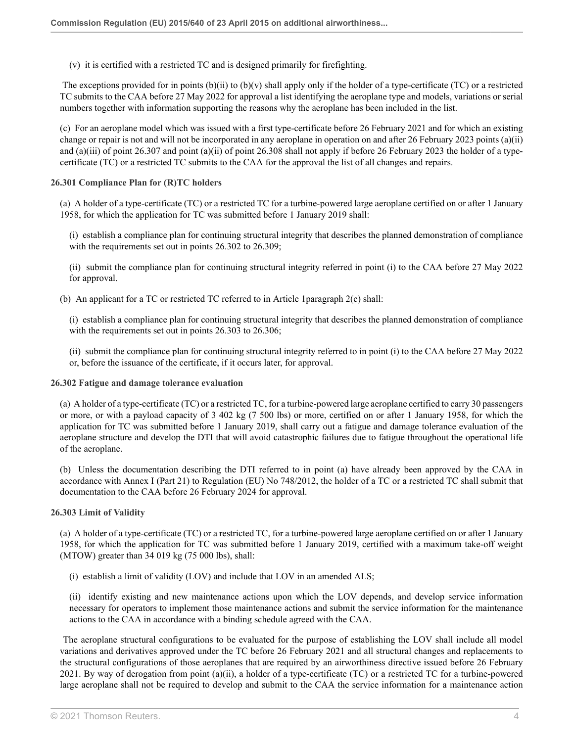(v) it is certified with a restricted TC and is designed primarily for firefighting.

The exceptions provided for in points  $(b)(ii)$  to  $(b)(v)$  shall apply only if the holder of a type-certificate (TC) or a restricted TC submits to the CAA before 27 May 2022 for approval a list identifying the aeroplane type and models, variations or serial numbers together with information supporting the reasons why the aeroplane has been included in the list.

(c) For an aeroplane model which was issued with a first type-certificate before 26 February 2021 and for which an existing change or repair is not and will not be incorporated in any aeroplane in operation on and after 26 February 2023 points (a)(ii) and (a)(iii) of point 26.307 and point (a)(ii) of point 26.308 shall not apply if before 26 February 2023 the holder of a typecertificate (TC) or a restricted TC submits to the CAA for the approval the list of all changes and repairs.

#### **26.301 Compliance Plan for (R)TC holders**

(a) A holder of a type-certificate (TC) or a restricted TC for a turbine-powered large aeroplane certified on or after 1 January 1958, for which the application for TC was submitted before 1 January 2019 shall:

(i) establish a compliance plan for continuing structural integrity that describes the planned demonstration of compliance with the requirements set out in points 26.302 to 26.309;

(ii) submit the compliance plan for continuing structural integrity referred in point (i) to the CAA before 27 May 2022 for approval.

(b) An applicant for a TC or restricted TC referred to in [Article 1paragraph 2\(c\)](http://uk.westlaw.com/Document/I6D6E4D4062B511EB8457EA019A83731C/View/FullText.html?originationContext=document&transitionType=DocumentItem&vr=3.0&rs=PLUK1.0&contextData=(sc.Search)) shall:

(i) establish a compliance plan for continuing structural integrity that describes the planned demonstration of compliance with the requirements set out in points 26.303 to 26.306;

(ii) submit the compliance plan for continuing structural integrity referred to in point (i) to the CAA before 27 May 2022 or, before the issuance of the certificate, if it occurs later, for approval.

#### **26.302 Fatigue and damage tolerance evaluation**

(a) A holder of a type-certificate (TC) or a restricted TC, for a turbine-powered large aeroplane certified to carry 30 passengers or more, or with a payload capacity of 3 402 kg (7 500 lbs) or more, certified on or after 1 January 1958, for which the application for TC was submitted before 1 January 2019, shall carry out a fatigue and damage tolerance evaluation of the aeroplane structure and develop the DTI that will avoid catastrophic failures due to fatigue throughout the operational life of the aeroplane.

(b) Unless the documentation describing the DTI referred to in point (a) have already been approved by the CAA in accordance with Annex I (Part 21) to [Regulation \(EU\) No 748/2012](http://uk.westlaw.com/Document/I747B5510FA3211EAACB48524E43BB284/View/FullText.html?originationContext=document&transitionType=DocumentItem&vr=3.0&rs=PLUK1.0&contextData=(sc.Search)), the holder of a TC or a restricted TC shall submit that documentation to the CAA before 26 February 2024 for approval.

#### **26.303 Limit of Validity**

(a) A holder of a type-certificate (TC) or a restricted TC, for a turbine-powered large aeroplane certified on or after 1 January 1958, for which the application for TC was submitted before 1 January 2019, certified with a maximum take-off weight (MTOW) greater than 34 019 kg (75 000 lbs), shall:

(i) establish a limit of validity (LOV) and include that LOV in an amended ALS;

(ii) identify existing and new maintenance actions upon which the LOV depends, and develop service information necessary for operators to implement those maintenance actions and submit the service information for the maintenance actions to the CAA in accordance with a binding schedule agreed with the CAA.

 The aeroplane structural configurations to be evaluated for the purpose of establishing the LOV shall include all model variations and derivatives approved under the TC before 26 February 2021 and all structural changes and replacements to the structural configurations of those aeroplanes that are required by an airworthiness directive issued before 26 February 2021. By way of derogation from point (a)(ii), a holder of a type-certificate (TC) or a restricted TC for a turbine-powered large aeroplane shall not be required to develop and submit to the CAA the service information for a maintenance action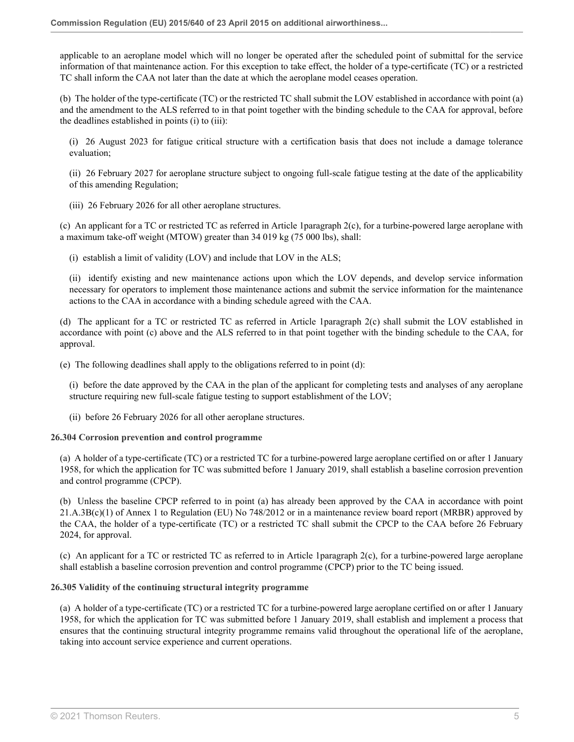applicable to an aeroplane model which will no longer be operated after the scheduled point of submittal for the service information of that maintenance action. For this exception to take effect, the holder of a type-certificate (TC) or a restricted TC shall inform the CAA not later than the date at which the aeroplane model ceases operation.

(b) The holder of the type-certificate (TC) or the restricted TC shall submit the LOV established in accordance with point (a) and the amendment to the ALS referred to in that point together with the binding schedule to the CAA for approval, before the deadlines established in points (i) to (iii):

(i) 26 August 2023 for fatigue critical structure with a certification basis that does not include a damage tolerance evaluation;

(ii) 26 February 2027 for aeroplane structure subject to ongoing full-scale fatigue testing at the date of the applicability of this amending Regulation;

(iii) 26 February 2026 for all other aeroplane structures.

(c) An applicant for a TC or restricted TC as referred in [Article 1paragraph 2\(c\),](http://uk.westlaw.com/Document/I6D6E4D4062B511EB8457EA019A83731C/View/FullText.html?originationContext=document&transitionType=DocumentItem&vr=3.0&rs=PLUK1.0&contextData=(sc.Search)) for a turbine-powered large aeroplane with a maximum take-off weight (MTOW) greater than 34 019 kg (75 000 lbs), shall:

(i) establish a limit of validity (LOV) and include that LOV in the ALS;

(ii) identify existing and new maintenance actions upon which the LOV depends, and develop service information necessary for operators to implement those maintenance actions and submit the service information for the maintenance actions to the CAA in accordance with a binding schedule agreed with the CAA.

(d) The applicant for a TC or restricted TC as referred in [Article 1paragraph 2\(c\)](http://uk.westlaw.com/Document/I6D6E4D4062B511EB8457EA019A83731C/View/FullText.html?originationContext=document&transitionType=DocumentItem&vr=3.0&rs=PLUK1.0&contextData=(sc.Search)) shall submit the LOV established in accordance with point (c) above and the ALS referred to in that point together with the binding schedule to the CAA, for approval.

(e) The following deadlines shall apply to the obligations referred to in point (d):

(i) before the date approved by the CAA in the plan of the applicant for completing tests and analyses of any aeroplane structure requiring new full-scale fatigue testing to support establishment of the LOV;

(ii) before 26 February 2026 for all other aeroplane structures.

#### **26.304 Corrosion prevention and control programme**

(a) A holder of a type-certificate (TC) or a restricted TC for a turbine-powered large aeroplane certified on or after 1 January 1958, for which the application for TC was submitted before 1 January 2019, shall establish a baseline corrosion prevention and control programme (CPCP).

(b) Unless the baseline CPCP referred to in point (a) has already been approved by the CAA in accordance with point 21.A.3B(c)(1) of Annex 1 to [Regulation \(EU\) No 748/2012](http://uk.westlaw.com/Document/I747B5510FA3211EAACB48524E43BB284/View/FullText.html?originationContext=document&transitionType=DocumentItem&vr=3.0&rs=PLUK1.0&contextData=(sc.Search)) or in a maintenance review board report (MRBR) approved by the CAA, the holder of a type-certificate (TC) or a restricted TC shall submit the CPCP to the CAA before 26 February 2024, for approval.

(c) An applicant for a TC or restricted TC as referred to in [Article 1paragraph 2\(c\),](http://uk.westlaw.com/Document/I6D6E4D4062B511EB8457EA019A83731C/View/FullText.html?originationContext=document&transitionType=DocumentItem&vr=3.0&rs=PLUK1.0&contextData=(sc.Search)) for a turbine-powered large aeroplane shall establish a baseline corrosion prevention and control programme (CPCP) prior to the TC being issued.

#### **26.305 Validity of the continuing structural integrity programme**

(a) A holder of a type-certificate (TC) or a restricted TC for a turbine-powered large aeroplane certified on or after 1 January 1958, for which the application for TC was submitted before 1 January 2019, shall establish and implement a process that ensures that the continuing structural integrity programme remains valid throughout the operational life of the aeroplane, taking into account service experience and current operations.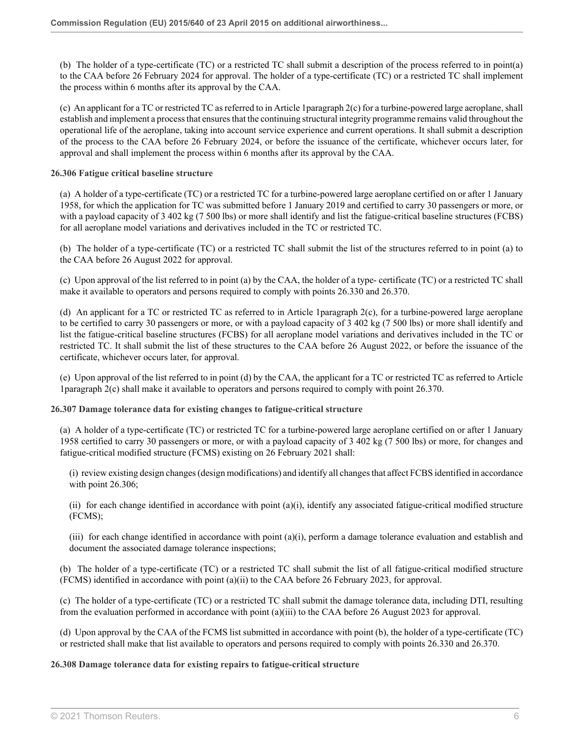(b) The holder of a type-certificate (TC) or a restricted TC shall submit a description of the process referred to in point(a) to the CAA before 26 February 2024 for approval. The holder of a type-certificate (TC) or a restricted TC shall implement the process within 6 months after its approval by the CAA.

(c) An applicant for a TC or restricted TC as referred to in [Article 1paragraph 2\(c\)](http://uk.westlaw.com/Document/I6D6E4D4062B511EB8457EA019A83731C/View/FullText.html?originationContext=document&transitionType=DocumentItem&vr=3.0&rs=PLUK1.0&contextData=(sc.Search)) for a turbine-powered large aeroplane, shall establish and implement a process that ensures that the continuing structural integrity programme remains valid throughout the operational life of the aeroplane, taking into account service experience and current operations. It shall submit a description of the process to the CAA before 26 February 2024, or before the issuance of the certificate, whichever occurs later, for approval and shall implement the process within 6 months after its approval by the CAA.

#### **26.306 Fatigue critical baseline structure**

(a) A holder of a type-certificate (TC) or a restricted TC for a turbine-powered large aeroplane certified on or after 1 January 1958, for which the application for TC was submitted before 1 January 2019 and certified to carry 30 passengers or more, or with a payload capacity of 3 402 kg (7 500 lbs) or more shall identify and list the fatigue-critical baseline structures (FCBS) for all aeroplane model variations and derivatives included in the TC or restricted TC.

(b) The holder of a type-certificate (TC) or a restricted TC shall submit the list of the structures referred to in point (a) to the CAA before 26 August 2022 for approval.

(c) Upon approval of the list referred to in point (a) by the CAA, the holder of a type- certificate (TC) or a restricted TC shall make it available to operators and persons required to comply with points 26.330 and 26.370.

(d) An applicant for a TC or restricted TC as referred to in [Article 1paragraph 2\(c\),](http://uk.westlaw.com/Document/I6D6E4D4062B511EB8457EA019A83731C/View/FullText.html?originationContext=document&transitionType=DocumentItem&vr=3.0&rs=PLUK1.0&contextData=(sc.Search)) for a turbine-powered large aeroplane to be certified to carry 30 passengers or more, or with a payload capacity of 3 402 kg (7 500 lbs) or more shall identify and list the fatigue-critical baseline structures (FCBS) for all aeroplane model variations and derivatives included in the TC or restricted TC. It shall submit the list of these structures to the CAA before 26 August 2022, or before the issuance of the certificate, whichever occurs later, for approval.

(e) Upon approval of the list referred to in point (d) by the CAA, the applicant for a TC or restricted TC as referred to [Article](http://uk.westlaw.com/Document/I6D6E4D4062B511EB8457EA019A83731C/View/FullText.html?originationContext=document&transitionType=DocumentItem&vr=3.0&rs=PLUK1.0&contextData=(sc.Search)) [1paragraph 2\(c\)](http://uk.westlaw.com/Document/I6D6E4D4062B511EB8457EA019A83731C/View/FullText.html?originationContext=document&transitionType=DocumentItem&vr=3.0&rs=PLUK1.0&contextData=(sc.Search)) shall make it available to operators and persons required to comply with point 26.370.

#### **26.307 Damage tolerance data for existing changes to fatigue-critical structure**

(a) A holder of a type-certificate (TC) or restricted TC for a turbine-powered large aeroplane certified on or after 1 January 1958 certified to carry 30 passengers or more, or with a payload capacity of 3 402 kg (7 500 lbs) or more, for changes and fatigue-critical modified structure (FCMS) existing on 26 February 2021 shall:

(i) review existing design changes (design modifications) and identify all changes that affect FCBS identified in accordance with point 26.306;

(ii) for each change identified in accordance with point  $(a)(i)$ , identify any associated fatigue-critical modified structure (FCMS);

(iii) for each change identified in accordance with point  $(a)(i)$ , perform a damage tolerance evaluation and establish and document the associated damage tolerance inspections;

(b) The holder of a type-certificate (TC) or a restricted TC shall submit the list of all fatigue-critical modified structure (FCMS) identified in accordance with point (a)(ii) to the CAA before 26 February 2023, for approval.

(c) The holder of a type-certificate (TC) or a restricted TC shall submit the damage tolerance data, including DTI, resulting from the evaluation performed in accordance with point (a)(iii) to the CAA before 26 August 2023 for approval.

(d) Upon approval by the CAA of the FCMS list submitted in accordance with point (b), the holder of a type-certificate (TC) or restricted shall make that list available to operators and persons required to comply with points 26.330 and 26.370.

#### **26.308 Damage tolerance data for existing repairs to fatigue-critical structure**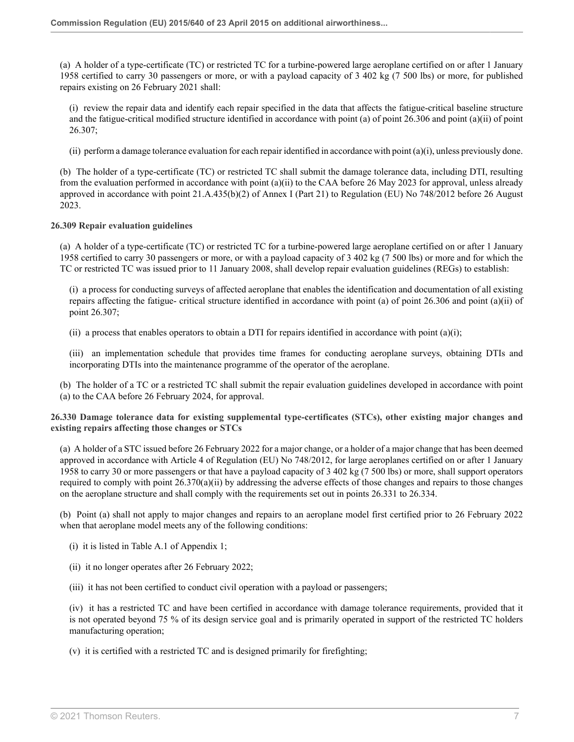(a) A holder of a type-certificate (TC) or restricted TC for a turbine-powered large aeroplane certified on or after 1 January 1958 certified to carry 30 passengers or more, or with a payload capacity of 3 402 kg (7 500 lbs) or more, for published repairs existing on 26 February 2021 shall:

(i) review the repair data and identify each repair specified in the data that affects the fatigue-critical baseline structure and the fatigue-critical modified structure identified in accordance with point (a) of point 26.306 and point (a)(ii) of point 26.307;

(ii) perform a damage tolerance evaluation for each repair identified in accordance with point  $(a)(i)$ , unless previously done.

(b) The holder of a type-certificate (TC) or restricted TC shall submit the damage tolerance data, including DTI, resulting from the evaluation performed in accordance with point (a)(ii) to the CAA before 26 May 2023 for approval, unless already approved in accordance with point 21.A.435(b)(2) of Annex I (Part 21) to Regulation (EU) No 748/2012 before 26 August 2023.

#### **26.309 Repair evaluation guidelines**

(a) A holder of a type-certificate (TC) or restricted TC for a turbine-powered large aeroplane certified on or after 1 January 1958 certified to carry 30 passengers or more, or with a payload capacity of 3 402 kg (7 500 lbs) or more and for which the TC or restricted TC was issued prior to 11 January 2008, shall develop repair evaluation guidelines (REGs) to establish:

(i) a process for conducting surveys of affected aeroplane that enables the identification and documentation of all existing repairs affecting the fatigue- critical structure identified in accordance with point (a) of point 26.306 and point (a)(ii) of point 26.307;

(ii) a process that enables operators to obtain a DTI for repairs identified in accordance with point  $(a)(i)$ ;

(iii) an implementation schedule that provides time frames for conducting aeroplane surveys, obtaining DTIs and incorporating DTIs into the maintenance programme of the operator of the aeroplane.

(b) The holder of a TC or a restricted TC shall submit the repair evaluation guidelines developed in accordance with point (a) to the CAA before 26 February 2024, for approval.

**26.330 Damage tolerance data for existing supplemental type-certificates (STCs), other existing major changes and existing repairs affecting those changes or STCs**

(a) A holder of a STC issued before 26 February 2022 for a major change, or a holder of a major change that has been deemed approved in accordance with Article 4 of Regulation (EU) No 748/2012, for large aeroplanes certified on or after 1 January 1958 to carry 30 or more passengers or that have a payload capacity of 3 402 kg (7 500 lbs) or more, shall support operators required to comply with point 26.370(a)(ii) by addressing the adverse effects of those changes and repairs to those changes on the aeroplane structure and shall comply with the requirements set out in points 26.331 to 26.334.

(b) Point (a) shall not apply to major changes and repairs to an aeroplane model first certified prior to 26 February 2022 when that aeroplane model meets any of the following conditions:

- (i) it is listed in Table A.1 of Appendix 1;
- (ii) it no longer operates after 26 February 2022;
- (iii) it has not been certified to conduct civil operation with a payload or passengers;

(iv) it has a restricted TC and have been certified in accordance with damage tolerance requirements, provided that it is not operated beyond 75 % of its design service goal and is primarily operated in support of the restricted TC holders manufacturing operation;

(v) it is certified with a restricted TC and is designed primarily for firefighting;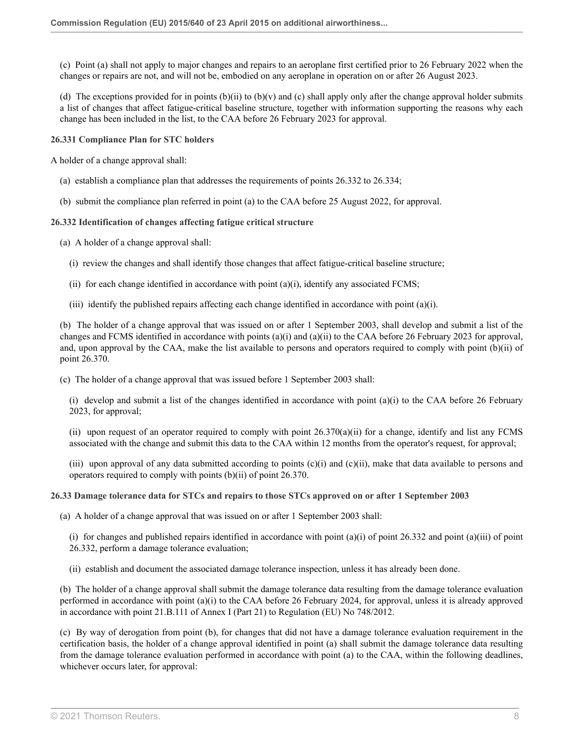(c) Point (a) shall not apply to major changes and repairs to an aeroplane first certified prior to 26 February 2022 when the changes or repairs are not, and will not be, embodied on any aeroplane in operation on or after 26 August 2023.

(d) The exceptions provided for in points  $(b)(ii)$  to  $(b)(v)$  and  $(c)$  shall apply only after the change approval holder submits a list of changes that affect fatigue-critical baseline structure, together with information supporting the reasons why each change has been included in the list, to the CAA before 26 February 2023 for approval.

**26.331 Compliance Plan for STC holders**

A holder of a change approval shall:

- (a) establish a compliance plan that addresses the requirements of points 26.332 to 26.334;
- (b) submit the compliance plan referred in point (a) to the CAA before 25 August 2022, for approval.

#### **26.332 Identification of changes affecting fatigue critical structure**

- (a) A holder of a change approval shall:
	- (i) review the changes and shall identify those changes that affect fatigue-critical baseline structure;
	- (ii) for each change identified in accordance with point  $(a)(i)$ , identify any associated FCMS;
	- (iii) identify the published repairs affecting each change identified in accordance with point (a)(i).

(b) The holder of a change approval that was issued on or after 1 September 2003, shall develop and submit a list of the changes and FCMS identified in accordance with points (a)(i) and (a)(ii) to the CAA before 26 February 2023 for approval, and, upon approval by the CAA, make the list available to persons and operators required to comply with point (b)(ii) of point 26.370.

(c) The holder of a change approval that was issued before 1 September 2003 shall:

(i) develop and submit a list of the changes identified in accordance with point (a)(i) to the CAA before 26 February 2023, for approval;

(ii) upon request of an operator required to comply with point  $26.370(a)(ii)$  for a change, identify and list any FCMS associated with the change and submit this data to the CAA within 12 months from the operator's request, for approval;

(iii) upon approval of any data submitted according to points  $(c)(i)$  and  $(c)(ii)$ , make that data available to persons and operators required to comply with points (b)(ii) of point 26.370.

#### **26.33 Damage tolerance data for STCs and repairs to those STCs approved on or after 1 September 2003**

(a) A holder of a change approval that was issued on or after 1 September 2003 shall:

(i) for changes and published repairs identified in accordance with point  $(a)(i)$  of point  $26.332$  and point  $(a)(iii)$  of point 26.332, perform a damage tolerance evaluation;

(ii) establish and document the associated damage tolerance inspection, unless it has already been done.

(b) The holder of a change approval shall submit the damage tolerance data resulting from the damage tolerance evaluation performed in accordance with point (a)(i) to the CAA before 26 February 2024, for approval, unless it is already approved in accordance with point 21.B.111 of Annex I (Part 21) to Regulation (EU) No 748/2012.

(c) By way of derogation from point (b), for changes that did not have a damage tolerance evaluation requirement in the certification basis, the holder of a change approval identified in point (a) shall submit the damage tolerance data resulting from the damage tolerance evaluation performed in accordance with point (a) to the CAA, within the following deadlines, whichever occurs later, for approval: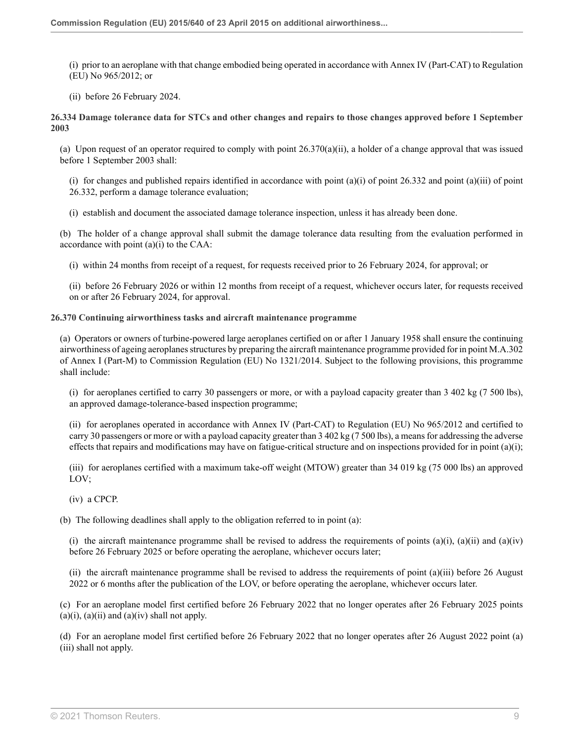(i) prior to an aeroplane with that change embodied being operated in accordance with Annex IV (Part-CAT) to Regulation (EU) No 965/2012; or

(ii) before 26 February 2024.

**26.334 Damage tolerance data for STCs and other changes and repairs to those changes approved before 1 September 2003**

(a) Upon request of an operator required to comply with point 26.370(a)(ii), a holder of a change approval that was issued before 1 September 2003 shall:

(i) for changes and published repairs identified in accordance with point  $(a)(i)$  of point  $26.332$  and point  $(a)(iii)$  of point 26.332, perform a damage tolerance evaluation;

(i) establish and document the associated damage tolerance inspection, unless it has already been done.

(b) The holder of a change approval shall submit the damage tolerance data resulting from the evaluation performed in accordance with point  $(a)(i)$  to the CAA:

(i) within 24 months from receipt of a request, for requests received prior to 26 February 2024, for approval; or

(ii) before 26 February 2026 or within 12 months from receipt of a request, whichever occurs later, for requests received on or after 26 February 2024, for approval.

#### **26.370 Continuing airworthiness tasks and aircraft maintenance programme**

(a) Operators or owners of turbine-powered large aeroplanes certified on or after 1 January 1958 shall ensure the continuing airworthiness of ageing aeroplanes structures by preparing the aircraft maintenance programme provided for in point M.A.302 of Annex I (Part-M) to [Commission Regulation \(EU\) No 1321/2014](http://uk.westlaw.com/Document/I74A412C0FA3211EAACB48524E43BB284/View/FullText.html?originationContext=document&transitionType=DocumentItem&vr=3.0&rs=PLUK1.0&contextData=(sc.Search)). Subject to the following provisions, this programme shall include:

(i) for aeroplanes certified to carry 30 passengers or more, or with a payload capacity greater than 3 402 kg (7 500 lbs), an approved damage-tolerance-based inspection programme;

(ii) for aeroplanes operated in accordance with Annex IV (Part-CAT) to [Regulation \(EU\) No 965/2012](http://uk.westlaw.com/Document/IF3A4F680EE6A11EAB37EAD59ABB29EB3/View/FullText.html?originationContext=document&transitionType=DocumentItem&vr=3.0&rs=PLUK1.0&contextData=(sc.Search)) and certified to carry 30 passengers or more or with a payload capacity greater than 3 402 kg (7 500 lbs), a means for addressing the adverse effects that repairs and modifications may have on fatigue-critical structure and on inspections provided for in point  $(a)(i)$ ;

(iii) for aeroplanes certified with a maximum take-off weight (MTOW) greater than 34 019 kg (75 000 lbs) an approved LOV;

(iv) a CPCP.

(b) The following deadlines shall apply to the obligation referred to in point (a):

(i) the aircraft maintenance programme shall be revised to address the requirements of points  $(a)(i)$ ,  $(a)(ii)$  and  $(a)(iv)$ before 26 February 2025 or before operating the aeroplane, whichever occurs later;

(ii) the aircraft maintenance programme shall be revised to address the requirements of point (a)(iii) before 26 August 2022 or 6 months after the publication of the LOV, or before operating the aeroplane, whichever occurs later.

(c) For an aeroplane model first certified before 26 February 2022 that no longer operates after 26 February 2025 points  $(a)(i)$ ,  $(a)(ii)$  and  $(a)(iv)$  shall not apply.

(d) For an aeroplane model first certified before 26 February 2022 that no longer operates after 26 August 2022 point (a) (iii) shall not apply.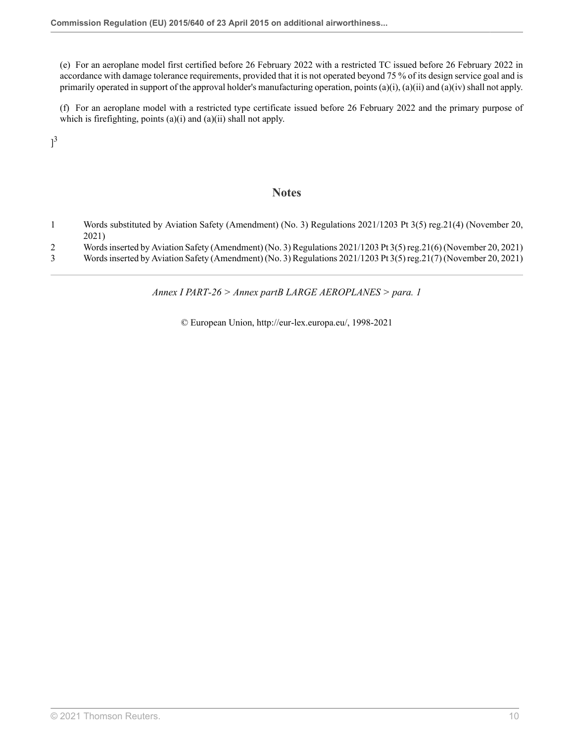(e) For an aeroplane model first certified before 26 February 2022 with a restricted TC issued before 26 February 2022 in accordance with damage tolerance requirements, provided that it is not operated beyond 75 % of its design service goal and is primarily operated in support of the approval holder's manufacturing operation, points (a)(i), (a)(ii) and (a)(iv) shall not apply.

(f) For an aeroplane model with a restricted type certificate issued before 26 February 2022 and the primary purpose of which is firefighting, points (a)(i) and (a)(ii) shall not apply.

<span id="page-23-3"></span> $]^{3}$  $]^{3}$  $]^{3}$ 

### **Notes**

- <span id="page-23-0"></span>[1](#page-14-0) Words substituted by Aviation Safety (Amendment) (No. 3) Regulations 2021/1203 [Pt 3\(5\) reg.21\(4\)](http://uk.westlaw.com/Document/I65824AE03A3811EC8C3F8DC6E4B22D01/View/FullText.html?originationContext=document&transitionType=DocumentItem&vr=3.0&rs=PLUK1.0&contextData=(sc.Search)) (November 20, 2021)
- <span id="page-23-1"></span>[2](#page-16-0) Words inserted by Aviation Safety (Amendment) (No. 3) Regulations 2021/1203 [Pt 3\(5\) reg.21\(6\)](http://uk.westlaw.com/Document/I65824AE03A3811EC8C3F8DC6E4B22D01/View/FullText.html?originationContext=document&transitionType=DocumentItem&vr=3.0&rs=PLUK1.0&contextData=(sc.Search)) (November 20, 2021)
- <span id="page-23-2"></span>[3](#page-23-3) Words inserted by Aviation Safety (Amendment) (No. 3) Regulations 2021/1203 [Pt 3\(5\) reg.21\(7\)](http://uk.westlaw.com/Document/I65824AE03A3811EC8C3F8DC6E4B22D01/View/FullText.html?originationContext=document&transitionType=DocumentItem&vr=3.0&rs=PLUK1.0&contextData=(sc.Search)) (November 20, 2021)

*Annex I PART-26 > Annex partB LARGE AEROPLANES > para. 1*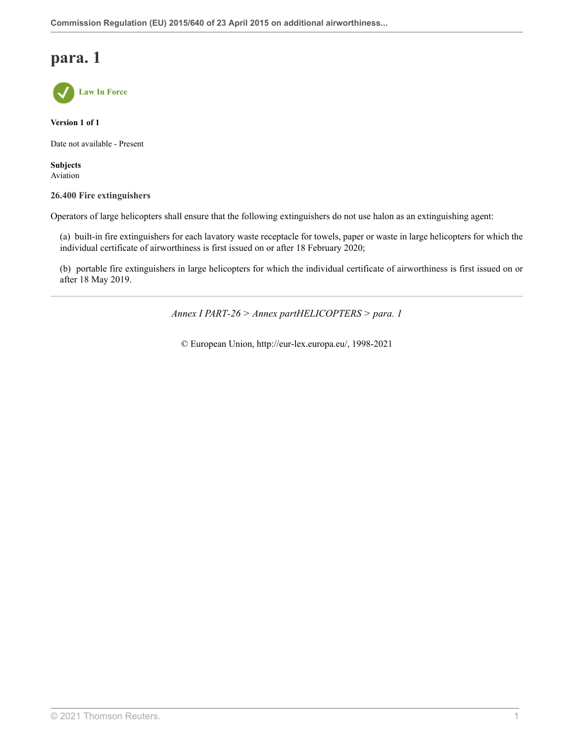

**Version 1 of 1**

Date not available - Present

**Subjects** Aviation

#### **26.400 Fire extinguishers**

Operators of large helicopters shall ensure that the following extinguishers do not use halon as an extinguishing agent:

(a) built-in fire extinguishers for each lavatory waste receptacle for towels, paper or waste in large helicopters for which the individual certificate of airworthiness is first issued on or after 18 February 2020;

(b) portable fire extinguishers in large helicopters for which the individual certificate of airworthiness is first issued on or after 18 May 2019.

*Annex I PART-26 > Annex partHELICOPTERS > para. 1*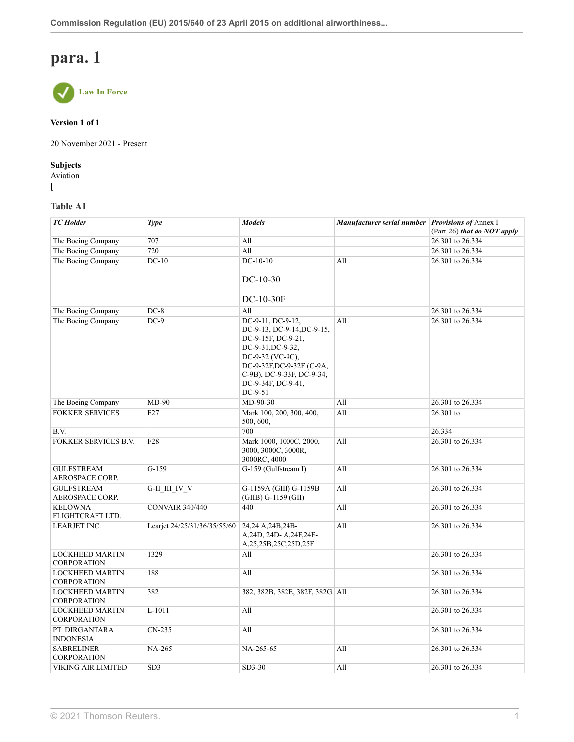

#### **Version 1 of 1**

20 November 2021 - Present

#### **Subjects**

Aviation  $\sqrt{2}$ 

### **Table A1**

| <b>TC</b> Holder                             | <b>Type</b>                  | <b>Models</b>                                                                                                                                                                                              | Manufacturer serial number Provisions of Annex I | (Part-26) that do NOT apply |
|----------------------------------------------|------------------------------|------------------------------------------------------------------------------------------------------------------------------------------------------------------------------------------------------------|--------------------------------------------------|-----------------------------|
| The Boeing Company                           | 707                          | All                                                                                                                                                                                                        |                                                  | 26.301 to 26.334            |
| The Boeing Company                           | 720                          | All                                                                                                                                                                                                        |                                                  | 26.301 to 26.334            |
| The Boeing Company                           | $DC-10$                      | $DC-10-10$                                                                                                                                                                                                 | All                                              | 26.301 to 26.334            |
|                                              |                              | $DC-10-30$<br>DC-10-30F                                                                                                                                                                                    |                                                  |                             |
| The Boeing Company                           | $DC-8$                       | All                                                                                                                                                                                                        |                                                  | 26.301 to 26.334            |
| The Boeing Company                           | $DC-9$                       | DC-9-11, DC-9-12,<br>DC-9-13, DC-9-14, DC-9-15,<br>DC-9-15F, DC-9-21,<br>DC-9-31, DC-9-32,<br>DC-9-32 (VC-9C),<br>DC-9-32F,DC-9-32F (C-9A,<br>C-9B), DC-9-33F, DC-9-34,<br>DC-9-34F, DC-9-41,<br>$DC-9-51$ | All                                              | 26.301 to 26.334            |
| The Boeing Company                           | $MD-90$                      | $MD-90-30$                                                                                                                                                                                                 | All                                              | 26.301 to 26.334            |
| <b>FOKKER SERVICES</b>                       | F27                          | Mark 100, 200, 300, 400,<br>500, 600,                                                                                                                                                                      | All                                              | 26.301 to                   |
| B.V.                                         |                              | 700                                                                                                                                                                                                        |                                                  | 26.334                      |
| <b>FOKKER SERVICES B.V.</b>                  | F <sub>28</sub>              | Mark 1000, 1000C, 2000,<br>3000, 3000C, 3000R,<br>3000RC, 4000                                                                                                                                             | All                                              | 26.301 to 26.334            |
| <b>GULFSTREAM</b><br><b>AEROSPACE CORP.</b>  | $G-159$                      | G-159 (Gulfstream I)                                                                                                                                                                                       | All                                              | 26.301 to 26.334            |
| <b>GULFSTREAM</b><br><b>AEROSPACE CORP.</b>  | G-II III IV V                | G-1159A (GIII) G-1159B<br>$(GIIB) G-1159(GII)$                                                                                                                                                             | All                                              | 26.301 to 26.334            |
| <b>KELOWNA</b><br>FLIGHTCRAFT LTD.           | <b>CONVAIR 340/440</b>       | 440                                                                                                                                                                                                        | All                                              | 26.301 to 26.334            |
| LEARJET INC.                                 | Learjet 24/25/31/36/35/55/60 | 24,24 A,24B,24B-<br>A, 24D, 24D-A, 24F, 24F-<br>A,25,25B,25C,25D,25F                                                                                                                                       | All                                              | 26.301 to 26.334            |
| <b>LOCKHEED MARTIN</b><br><b>CORPORATION</b> | 1329                         | All                                                                                                                                                                                                        |                                                  | 26.301 to 26.334            |
| <b>LOCKHEED MARTIN</b><br><b>CORPORATION</b> | 188                          | All                                                                                                                                                                                                        |                                                  | 26.301 to 26.334            |
| <b>LOCKHEED MARTIN</b><br><b>CORPORATION</b> | 382                          | 382, 382B, 382E, 382F, 382G   All                                                                                                                                                                          |                                                  | 26.301 to 26.334            |
| <b>LOCKHEED MARTIN</b><br><b>CORPORATION</b> | L-1011                       | All                                                                                                                                                                                                        |                                                  | 26.301 to 26.334            |
| PT. DIRGANTARA<br><b>INDONESIA</b>           | $CN-235$                     | All                                                                                                                                                                                                        |                                                  | 26.301 to 26.334            |
| <b>SABRELINER</b><br><b>CORPORATION</b>      | <b>NA-265</b>                | NA-265-65                                                                                                                                                                                                  | All                                              | 26.301 to 26.334            |
| VIKING AIR LIMITED                           | SD <sub>3</sub>              | $SD3-30$                                                                                                                                                                                                   | All                                              | 26.301 to 26.334            |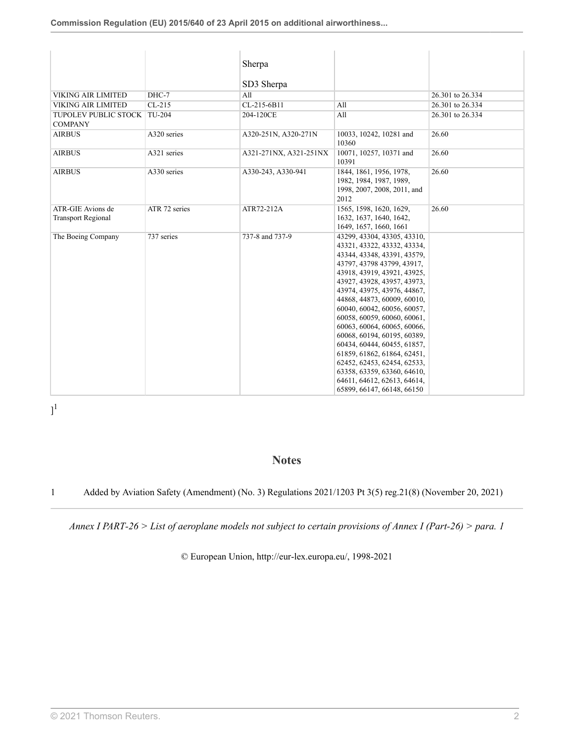|                                                |               | Sherpa                 |                                                                                                                                                                                                                                                                                                                                                                                                                                                                                                                                                                          |                  |
|------------------------------------------------|---------------|------------------------|--------------------------------------------------------------------------------------------------------------------------------------------------------------------------------------------------------------------------------------------------------------------------------------------------------------------------------------------------------------------------------------------------------------------------------------------------------------------------------------------------------------------------------------------------------------------------|------------------|
|                                                |               | SD3 Sherpa             |                                                                                                                                                                                                                                                                                                                                                                                                                                                                                                                                                                          |                  |
| <b>VIKING AIR LIMITED</b>                      | DHC-7         | All                    |                                                                                                                                                                                                                                                                                                                                                                                                                                                                                                                                                                          | 26.301 to 26.334 |
| <b>VIKING AIR LIMITED</b>                      | $CL-215$      | CL-215-6B11            | All                                                                                                                                                                                                                                                                                                                                                                                                                                                                                                                                                                      | 26.301 to 26.334 |
| TUPOLEV PUBLIC STOCK<br><b>COMPANY</b>         | TU-204        | 204-120CE              | All                                                                                                                                                                                                                                                                                                                                                                                                                                                                                                                                                                      | 26.301 to 26.334 |
| <b>AIRBUS</b>                                  | A320 series   | A320-251N, A320-271N   | 10033, 10242, 10281 and<br>10360                                                                                                                                                                                                                                                                                                                                                                                                                                                                                                                                         | 26.60            |
| <b>AIRBUS</b>                                  | A321 series   | A321-271NX, A321-251NX | 10071, 10257, 10371 and<br>10391                                                                                                                                                                                                                                                                                                                                                                                                                                                                                                                                         | 26.60            |
| <b>AIRBUS</b>                                  | A330 series   | A330-243, A330-941     | 1844, 1861, 1956, 1978,<br>1982, 1984, 1987, 1989,<br>1998, 2007, 2008, 2011, and<br>2012                                                                                                                                                                                                                                                                                                                                                                                                                                                                                | 26.60            |
| ATR-GIE Avions de<br><b>Transport Regional</b> | ATR 72 series | ATR72-212A             | 1565, 1598, 1620, 1629,<br>1632, 1637, 1640, 1642,<br>1649, 1657, 1660, 1661                                                                                                                                                                                                                                                                                                                                                                                                                                                                                             | 26.60            |
| The Boeing Company                             | 737 series    | 737-8 and 737-9        | 43299, 43304, 43305, 43310,<br>43321, 43322, 43332, 43334,<br>43344, 43348, 43391, 43579,<br>43797, 43798 43799, 43917,<br>43918, 43919, 43921, 43925,<br>43927, 43928, 43957, 43973,<br>43974, 43975, 43976, 44867,<br>44868, 44873, 60009, 60010,<br>60040, 60042, 60056, 60057,<br>60058, 60059, 60060, 60061,<br>60063, 60064, 60065, 60066,<br>60068, 60194, 60195, 60389,<br>60434, 60444, 60455, 61857,<br>61859, 61862, 61864, 62451,<br>62452, 62453, 62454, 62533,<br>63358, 63359, 63360, 64610,<br>64611, 64612, 62613, 64614,<br>65899, 66147, 66148, 66150 |                  |

<span id="page-26-1"></span> $]^{1}$  $]^{1}$  $]^{1}$ 

### **Notes**

<span id="page-26-0"></span>[1](#page-26-1) Added by Aviation Safety (Amendment) (No. 3) Regulations 2021/1203 [Pt 3\(5\) reg.21\(8\)](http://uk.westlaw.com/Document/I65824AE03A3811EC8C3F8DC6E4B22D01/View/FullText.html?originationContext=document&transitionType=DocumentItem&vr=3.0&rs=PLUK1.0&contextData=(sc.Search)) (November 20, 2021)

*Annex I PART-26 > List of aeroplane models not subject to certain provisions of Annex I (Part-26) > para. 1*